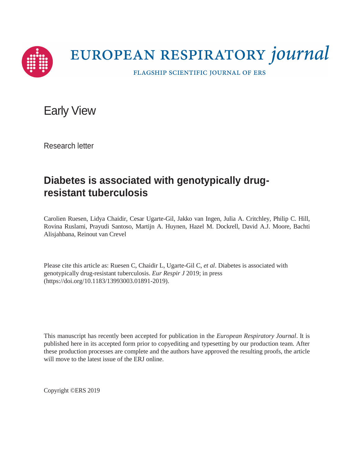

# EUROPEAN RESPIRATORY journal

FLAGSHIP SCIENTIFIC JOURNAL OF ERS

Early View

Research letter

## **Diabetes is associated with genotypically drugresistant tuberculosis**

Carolien Ruesen, Lidya Chaidir, Cesar Ugarte-Gil, Jakko van Ingen, Julia A. Critchley, Philip C. Hill, Rovina Ruslami, Prayudi Santoso, Martijn A. Huynen, Hazel M. Dockrell, David A.J. Moore, Bachti Alisjahbana, Reinout van Crevel

Please cite this article as: Ruesen C, Chaidir L, Ugarte-Gil C, *et al*. Diabetes is associated with genotypically drug-resistant tuberculosis. *Eur Respir J* 2019; in press (https://doi.org/10.1183/13993003.01891-2019).

This manuscript has recently been accepted for publication in the *European Respiratory Journal*. It is published here in its accepted form prior to copyediting and typesetting by our production team. After these production processes are complete and the authors have approved the resulting proofs, the article will move to the latest issue of the ERJ online.

Copyright ©ERS 2019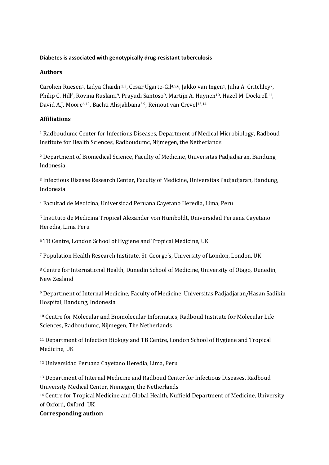#### **Diabetes is associated with genotypically drug-resistant tuberculosis**

#### **Authors**

Carolien Ruesen<sup>1</sup>, Lidya Chaidir<sup>2,3</sup>, Cesar Ugarte-Gil<sup>4,5,6</sup>, Jakko van Ingen<sup>1</sup>, Julia A. Critchley<sup>7</sup>, Philip C. Hill<sup>8</sup>, Rovina Ruslami<sup>9</sup>, Prayudi Santoso<sup>9</sup>, Martijn A. Huynen<sup>10</sup>, Hazel M. Dockrell<sup>11</sup>, David A.J. Moore<sup>6,12</sup>, Bachti Alisjahbana<sup>3,9</sup>, Reinout van Crevel<sup>13,14</sup>

#### **Affiliations**

<sup>1</sup> Radboudumc Center for Infectious Diseases, Department of Medical Microbiology, Radboud Institute for Health Sciences, Radboudumc, Nijmegen, the Netherlands

<sup>2</sup> Department of Biomedical Science, Faculty of Medicine, Universitas Padjadjaran, Bandung, Indonesia.

<sup>3</sup> Infectious Disease Research Center, Faculty of Medicine, Universitas Padjadjaran, Bandung, Indonesia

<sup>4</sup> Facultad de Medicina, Universidad Peruana Cayetano Heredia, Lima, Peru

<sup>5</sup> Instituto de Medicina Tropical Alexander von Humboldt, Universidad Peruana Cayetano Heredia, Lima Peru

<sup>6</sup> TB Centre, London School of Hygiene and Tropical Medicine, UK

<sup>7</sup> Population Health Research Institute, St. George's, University of London, London, UK

<sup>8</sup> Centre for International Health, Dunedin School of Medicine, University of Otago, Dunedin, New Zealand

<sup>9</sup> Department of Internal Medicine, Faculty of Medicine, Universitas Padjadjaran/Hasan Sadikin Hospital, Bandung, Indonesia

<sup>10</sup> Centre for Molecular and Biomolecular Informatics, Radboud Institute for Molecular Life Sciences, Radboudumc, Nijmegen, The Netherlands

<sup>11</sup> Department of Infection Biology and TB Centre, London School of Hygiene and Tropical Medicine, UK

<sup>12</sup> Universidad Peruana Cayetano Heredia, Lima, Peru

<sup>13</sup> Department of Internal Medicine and Radboud Center for Infectious Diseases, Radboud University Medical Center, Nijmegen, the Netherlands

<sup>14</sup> Centre for Tropical Medicine and Global Health, Nuffield Department of Medicine, University of Oxford, Oxford, UK

#### **Corresponding author:**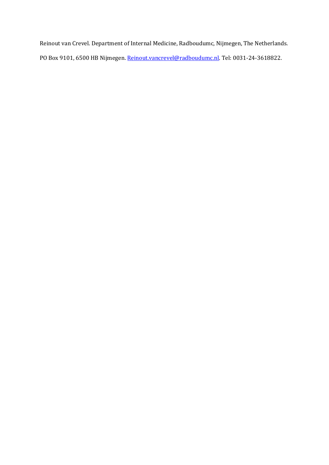Reinout van Crevel. Department of Internal Medicine, Radboudumc, Nijmegen, The Netherlands. PO Box 9101, 6500 HB Nijmegen. [Reinout.vancrevel@radboudumc.nl.](mailto:Reinout.vancrevel@radboudumc.nl) Tel: 0031-24-3618822.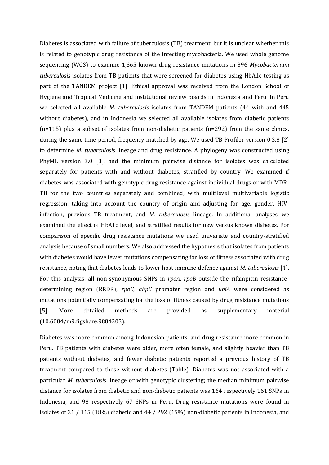Diabetes is associated with failure of tuberculosis (TB) treatment, but it is unclear whether this is related to genotypic drug resistance of the infecting mycobacteria. We used whole genome sequencing (WGS) to examine 1,365 known drug resistance mutations in 896 *Mycobacterium tuberculosis* isolates from TB patients that were screened for diabetes using HbA1c testing as part of the TANDEM project [1]. Ethical approval was received from the London School of Hygiene and Tropical Medicine and institutional review boards in Indonesia and Peru. In Peru we selected all available *M. tuberculosis* isolates from TANDEM patients (44 with and 445 without diabetes), and in Indonesia we selected all available isolates from diabetic patients  $(n=115)$  plus a subset of isolates from non-diabetic patients  $(n=292)$  from the same clinics, during the same time period, frequency-matched by age. We used TB Profiler version 0.3.8 [2] to determine *M. tuberculosis* lineage and drug resistance. A phylogeny was constructed using PhyML version 3.0 [3], and the minimum pairwise distance for isolates was calculated separately for patients with and without diabetes, stratified by country. We examined if diabetes was associated with genotypic drug resistance against individual drugs or with MDR-TB for the two countries separately and combined, with multilevel multivariable logistic regression, taking into account the country of origin and adjusting for age, gender, HIVinfection, previous TB treatment, and *M. tuberculosis* lineage. In additional analyses we examined the effect of HbA1c level, and stratified results for new versus known diabetes. For comparison of specific drug resistance mutations we used univariate and country-stratified analysis because of small numbers. We also addressed the hypothesis that isolates from patients with diabetes would have fewer mutations compensating for loss of fitness associated with drug resistance, noting that diabetes leads to lower host immune defence against *M. tuberculosis* [4]. For this analysis, all non-synonymous SNPs in *rpoA*, *rpoB* outside the rifampicin resistancedetermining region (RRDR), *rpoC*, *ahpC* promoter region and *ubiA* were considered as mutations potentially compensating for the loss of fitness caused by drug resistance mutations [5]. More detailed methods are provided as supplementary material (10.6084/m9.figshare.9884303).

Diabetes was more common among Indonesian patients, and drug resistance more common in Peru. TB patients with diabetes were older, more often female, and slightly heavier than TB patients without diabetes, and fewer diabetic patients reported a previous history of TB treatment compared to those without diabetes (Table). Diabetes was not associated with a particular *M. tuberculosis* lineage or with genotypic clustering; the median minimum pairwise distance for isolates from diabetic and non-diabetic patients was 164 respectively 161 SNPs in Indonesia, and 98 respectively 67 SNPs in Peru. Drug resistance mutations were found in isolates of 21 / 115 (18%) diabetic and 44 / 292 (15%) non-diabetic patients in Indonesia, and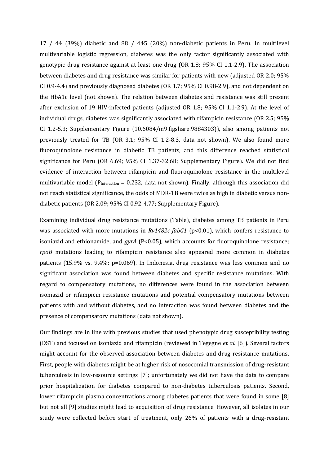17 / 44 (39%) diabetic and 88 / 445 (20%) non-diabetic patients in Peru. In multilevel multivariable logistic regression, diabetes was the only factor significantly associated with genotypic drug resistance against at least one drug (OR 1.8; 95% CI 1.1-2.9). The association between diabetes and drug resistance was similar for patients with new (adjusted OR 2.0; 95% CI 0.9-4.4) and previously diagnosed diabetes (OR 1.7; 95% CI 0.98-2.9), and not dependent on the HbA1c level (not shown). The relation between diabetes and resistance was still present after exclusion of 19 HIV-infected patients (adjusted OR 1.8; 95% CI 1.1-2.9). At the level of individual drugs, diabetes was significantly associated with rifampicin resistance (OR 2.5; 95% CI 1.2-5.3; Supplementary Figure (10.6084/m9.figshare.9884303)), also among patients not previously treated for TB (OR 3.1; 95% CI 1.2-8.3, data not shown). We also found more fluoroquinolone resistance in diabetic TB patients, and this difference reached statistical significance for Peru (OR 6.69; 95% CI 1.37-32.68; Supplementary Figure). We did not find evidence of interaction between rifampicin and fluoroquinolone resistance in the multilevel multivariable model ( $P_{interaction} = 0.232$ , data not shown). Finally, although this association did not reach statistical significance, the odds of MDR-TB were twice as high in diabetic versus nondiabetic patients (OR 2.09; 95% CI 0.92-4.77; Supplementary Figure).

Examining individual drug resistance mutations (Table), diabetes among TB patients in Peru was associated with more mutations in  $Rv1482c$ -fabG1 (p<0.01), which confers resistance to isoniazid and ethionamide, and *gyrA* (P<0.05)*,* which accounts for fluoroquinolone resistance; *rpoB* mutations leading to rifampicin resistance also appeared more common in diabetes patients (15.9% vs. 9.4%; p=0.069). In Indonesia, drug resistance was less common and no significant association was found between diabetes and specific resistance mutations. With regard to compensatory mutations, no differences were found in the association between isoniazid or rifampicin resistance mutations and potential compensatory mutations between patients with and without diabetes, and no interaction was found between diabetes and the presence of compensatory mutations (data not shown).

Our findings are in line with previous studies that used phenotypic drug susceptibility testing (DST) and focused on isoniazid and rifampicin (reviewed in Tegegne *et al*. [6]). Several factors might account for the observed association between diabetes and drug resistance mutations. First, people with diabetes might be at higher risk of nosocomial transmission of drug-resistant tuberculosis in low-resource settings [7]; unfortunately we did not have the data to compare prior hospitalization for diabetes compared to non-diabetes tuberculosis patients. Second, lower rifampicin plasma concentrations among diabetes patients that were found in some [8] but not all [9] studies might lead to acquisition of drug resistance. However, all isolates in our study were collected before start of treatment, only 26% of patients with a drug-resistant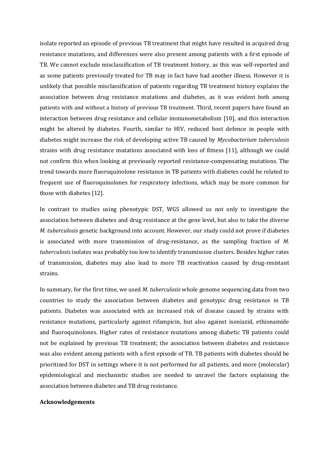isolate reported an episode of previous TB treatment that might have resulted in acquired drug resistance mutations, and differences were also present among patients with a first episode of TB. We cannot exclude misclassification of TB treatment history, as this was self-reported and as some patients previously treated for TB may in fact have had another illness. However it is unlikely that possible misclassification of patients regarding TB treatment history explains the association between drug resistance mutations and diabetes, as it was evident both among patients with and without a history of previous TB treatment. Third, recent papers have found an interaction between drug resistance and cellular immunometabolism [10], and this interaction might be altered by diabetes. Fourth, similar to HIV, reduced host defence in people with diabetes might increase the risk of developing active TB caused by *Mycobacterium tuberculosis*  strains with drug resistance mutations associated with loss of fitness [11], although we could not confirm this when looking at previously reported resistance-compensating mutations. The trend towards more fluoroquinolone resistance in TB patients with diabetes could be related to frequent use of fluoroquinolones for respiratory infections, which may be more common for those with diabetes [12].

In contrast to studies using phenotypic DST, WGS allowed us not only to investigate the association between diabetes and drug resistance at the gene level, but also to take the diverse *M. tuberculosis* genetic background into account. However, our study could not prove if diabetes is associated with more transmission of drug-resistance, as the sampling fraction of *M. tuberculosis* isolates was probably too low to identify transmission clusters. Besides higher rates of transmission, diabetes may also lead to more TB reactivation caused by drug-resistant strains.

In summary, for the first time, we used *M. tuberculosis* whole genome sequencing data from two countries to study the association between diabetes and genotypic drug resistance in TB patients. Diabetes was associated with an increased risk of disease caused by strains with resistance mutations, particularly against rifampicin, but also against isoniazid, ethionamide and fluoroquinolones. Higher rates of resistance mutations among diabetic TB patients could not be explained by previous TB treatment; the association between diabetes and resistance was also evident among patients with a first episode of TB. TB patients with diabetes should be prioritized for DST in settings where it is not performed for all patients, and more (molecular) epidemiological and mechanistic studies are needed to unravel the factors explaining the association between diabetes and TB drug resistance.

#### **Acknowledgements**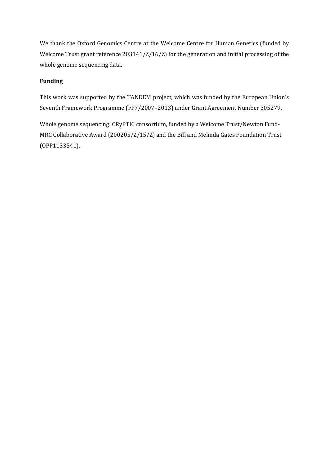We thank the Oxford Genomics Centre at the Welcome Centre for Human Genetics (funded by Welcome Trust grant reference 203141/Z/16/Z) for the generation and initial processing of the whole genome sequencing data.

### **Funding**

This work was supported by the TANDEM project, which was funded by the European Union's Seventh Framework Programme (FP7/2007–2013) under Grant Agreement Number 305279.

Whole genome sequencing: CRyPTIC consortium, funded by a Welcome Trust/Newton Fund-MRC Collaborative Award (200205/Z/15/Z) and the Bill and Melinda Gates Foundation Trust (OPP1133541).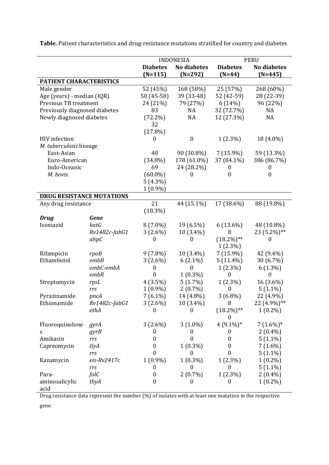INDONESIA PERU **Diabetes (N=115) No diabetes (N=292) Diabetes (N=44) No diabetes (N=445) PATIENT CHARACTERISTICS** Male gender 52 (45%) 168 (58%) 25 (57%) 268 (60%) Age (years) - median (IQR) 50 (45-58) 39 (33-48) 52 (42-59) 28 (22-39) Previous TB treatment 24 (21%) 79 (27%) 6 (14%) 96 (22%) Previously diagnosed diabetes Newly diagnosed diabetes 83 (72.2%) 32 (27.8%) NA NA 32 (72.7%) 12 (27.3%) NA NA HIV infection 0 0 1 (2.3%) 18 (4.0%) *M. tuberculosis* lineage East-Asian Euro-American Indo-Oceanic *M. bovis* 40 (34.8%) 69 (60.0%) 5 (4.3%) 1 (0.9%) 90 (30.8%) 178 (61.0%) 24 (28.2%)  $\theta$ 7 (15.9%) 37 (84.1%) 0  $\overline{0}$ 59 (13.3%) 386 (86.7%) 0 0 **DRUG RESISTANCE MUTATIONS** Any drug resistance 21 (18.3%) 44 (15.1%) 17 (38.6%) 88 (19.8%) *Drug Gene* Isoniazid *katG Rv1482c-fabG1 ahpC* 8 (7.0%) 3 (2.6%) 0 19 (6.5%) 10 (3.4%) 0 6 (13.6%) 8  $(18.2\%)$ \*\* 1 (2.3%) 48 (10.8%) 23 (5.2%)\*\* 0 Rifampicin *rpoB* 9 (7.8%) 10 (3.4%) 7 (15.9%) 42 (9.4%) Ethambutol *embB embC-embA embR* 3 (2.6%) 0 0 6 (2.1%)  $\Omega$ 1 (0.3%) 5 (11.4%) 1 (2.3%)  $\Omega$ 30 (6.7%) 6 (1.3%) 0 Streptomycin *rpsL rrs* 4 (3.5%) 1 (0.9%) 5 (1.7%) 2 (0.7%) 1 (2.3%)  $\Omega$ 16 (3.6%) 5 (1.1%) Pyrazinamide *pncA* 7 (6.1%) 14 (4.8%) 3 (6.8%) 22 (4.9%) Ethionamide *Rv1482c-fabG1 ethA* 3 (2.6%) 0 10 (3.4%) 0 8  $(18.2\%)$ \*\*  $\Omega$ 22 (4.9%)\*\* 1 (0.2%) Fluoroquinolone s *gyrA gyrB* 3 (2.6%) 0 3 (1.0%) 0 4 (9.1%)\* 0 7 (1.6%)\* 2 (0.4%) Amikacin *rrs* 0 0 0 5 (1.1%) Capreomycin *tlyA rrs* 0 0 1 (0.3%) 0 0 0 7 (1.6%) 5 (1.1%) Kanamycin *eis-Rv2417c rrs* 1 (0.9%) 0 1 (0.3%)  $\Omega$ 1 (2.3%)  $\Omega$ 1 (0.2%) 5 (1.1%) Paraaminosalicylic acid *folC thyA* 0 0 2 (0.7%) 0 1 (2.3%) 0 2 (0.4%) 1 (0.2%)

**Table.** Patient characteristics and drug-resistance mutations stratified for country and diabetes

Drug resistance data represent the number (%) of isolates with at least one mutation in the respective

gene.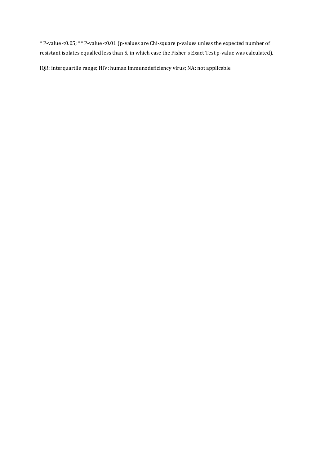\* P-value <0.05; \*\* P-value <0.01 (p-values are Chi-square p-values unless the expected number of resistant isolates equalled less than 5, in which case the Fisher's Exact Test p-value was calculated).

IQR: interquartile range; HIV: human immunodeficiency virus; NA: not applicable.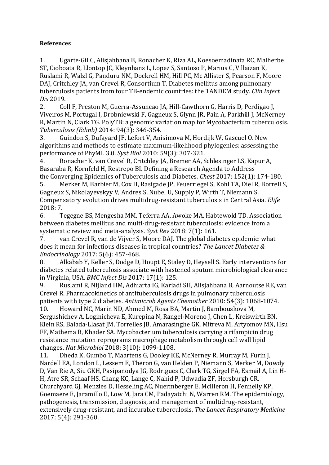### **References**

1. Ugarte-Gil C, Alisjahbana B, Ronacher K, Riza AL, Koesoemadinata RC, Malherbe ST, Cioboata R, Llontop JC, Kleynhans L, Lopez S, Santoso P, Marius C, Villaizan K, Ruslami R, Walzl G, Panduru NM, Dockrell HM, Hill PC, Mc Allister S, Pearson F, Moore DAJ, Critchley JA, van Crevel R, Consortium T. Diabetes mellitus among pulmonary tuberculosis patients from four TB-endemic countries: the TANDEM study. *Clin Infect Dis* 2019.

2. Coll F, Preston M, Guerra-Assuncao JA, Hill-Cawthorn G, Harris D, Perdigao J, Viveiros M, Portugal I, Drobniewski F, Gagneux S, Glynn JR, Pain A, Parkhill J, McNerney R, Martin N, Clark TG. PolyTB: a genomic variation map for Mycobacterium tuberculosis. *Tuberculosis (Edinb)* 2014: 94(3): 346-354.

3. Guindon S, Dufayard JF, Lefort V, Anisimova M, Hordijk W, Gascuel O. New algorithms and methods to estimate maximum-likelihood phylogenies: assessing the performance of PhyML 3.0. *Syst Biol* 2010: 59(3): 307-321.

4. Ronacher K, van Crevel R, Critchley JA, Bremer AA, Schlesinger LS, Kapur A, Basaraba R, Kornfeld H, Restrepo BI. Defining a Research Agenda to Address the Converging Epidemics of Tuberculosis and Diabetes. *Chest* 2017: 152(1): 174-180.

5. Merker M, Barbier M, Cox H, Rasigade JP, Feuerriegel S, Kohl TA, Diel R, Borrell S, Gagneux S, Nikolayevskyy V, Andres S, Nubel U, Supply P, Wirth T, Niemann S. Compensatory evolution drives multidrug-resistant tuberculosis in Central Asia. *Elife*  2018: 7.

6. Tegegne BS, Mengesha MM, Teferra AA, Awoke MA, Habtewold TD. Association between diabetes mellitus and multi-drug-resistant tuberculosis: evidence from a systematic review and meta-analysis. *Syst Rev* 2018: 7(1): 161.

7. van Crevel R, van de Vijver S, Moore DAJ. The global diabetes epidemic: what does it mean for infectious diseases in tropical countries? *The Lancet Diabetes & Endocrinology* 2017: 5(6): 457-468.

8. Alkabab Y, Keller S, Dodge D, Houpt E, Staley D, Heysell S. Early interventions for diabetes related tuberculosis associate with hastened sputum microbiological clearance in Virginia, USA. *BMC Infect Dis* 2017: 17(1): 125.

9. Ruslami R, Nijland HM, Adhiarta IG, Kariadi SH, Alisjahbana B, Aarnoutse RE, van Crevel R. Pharmacokinetics of antituberculosis drugs in pulmonary tuberculosis patients with type 2 diabetes. *Antimicrob Agents Chemother* 2010: 54(3): 1068-1074.

10. Howard NC, Marin ND, Ahmed M, Rosa BA, Martin J, Bambouskova M, Sergushichev A, Loginicheva E, Kurepina N, Rangel-Moreno J, Chen L, Kreiswirth BN, Klein RS, Balada-Llasat JM, Torrelles JB, Amarasinghe GK, Mitreva M, Artyomov MN, Hsu FF, Mathema B, Khader SA. Mycobacterium tuberculosis carrying a rifampicin drug resistance mutation reprograms macrophage metabolism through cell wall lipid changes. *Nat Microbiol* 2018: 3(10): 1099-1108.

11. Dheda K, Gumbo T, Maartens G, Dooley KE, McNerney R, Murray M, Furin J, Nardell EA, London L, Lessem E, Theron G, van Helden P, Niemann S, Merker M, Dowdy D, Van Rie A, Siu GKH, Pasipanodya JG, Rodrigues C, Clark TG, Sirgel FA, Esmail A, Lin H-H, Atre SR, Schaaf HS, Chang KC, Lange C, Nahid P, Udwadia ZF, Horsburgh CR, Churchyard GJ, Menzies D, Hesseling AC, Nuermberger E, McIlleron H, Fennelly KP, Goemaere E, Jaramillo E, Low M, Jara CM, Padayatchi N, Warren RM. The epidemiology, pathogenesis, transmission, diagnosis, and management of multidrug-resistant, extensively drug-resistant, and incurable tuberculosis. *The Lancet Respiratory Medicine*  2017: 5(4): 291-360.